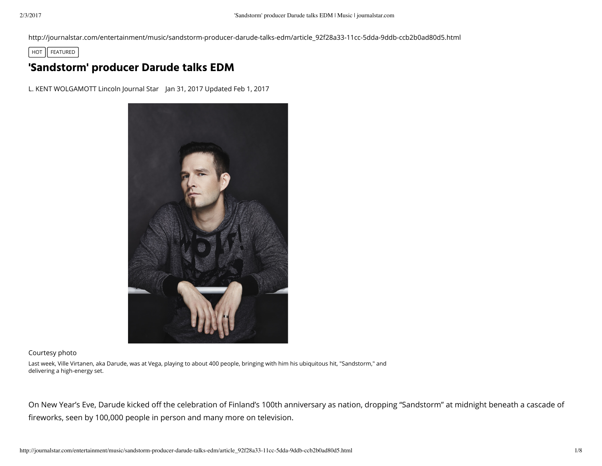http://journalstar.com/entertainment/music/sandstorm-producer-darude-talks-edm/article\_92f28a33-11cc-5dda-9ddb-ccb2b0ad80d5.html

HOT || FEATURED

# **'Sandstorm' producer Darude talks EDM**

L. KENT WOLGAMOTT Lincoln Journal Star Jan 31, 2017 Updated Feb 1, 2017



#### Courtesy photo

Last week, Ville Virtanen, aka Darude, was at Vega, playing to about 400 people, bringing with him his ubiquitous hit, "Sandstorm," and delivering a high-energy set.

On New Year's Eve, Darude kicked off the celebration of Finland's 100th anniversary as nation, dropping "Sandstorm" at midnight beneath a cascade of fireworks, seen by 100,000 people in person and many more on television.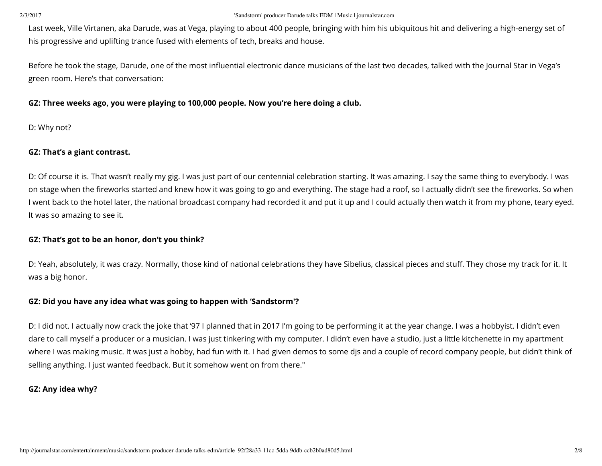Last week, Ville Virtanen, aka Darude, was at Vega, playing to about 400 people, bringing with him his ubiquitous hit and delivering a high-energy set of his progressive and uplifting trance fused with elements of tech, breaks and house.

Before he took the stage, Darude, one of the most influential electronic dance musicians of the last two decades, talked with the Journal Star in Vega's green room. Here's that conversation:

#### **GZ: Three weeks ago, you were playing to 100,000 people. Now you're here doing a club.**

D: Why not?

## **GZ: That's a giant contrast.**

D: Of course it is. That wasn't really my gig. I was just part of our centennial celebration starting. It was amazing. I say the same thing to everybody. I was on stage when the fireworks started and knew how it was going to go and everything. The stage had a roof, so I actually didn't see the fireworks. So when I went back to the hotel later, the national broadcast company had recorded it and put it up and I could actually then watch it from my phone, teary eyed. It was so amazing to see it.

## **GZ: That's got to be an honor, don't you think?**

D: Yeah, absolutely, it was crazy. Normally, those kind of national celebrations they have Sibelius, classical pieces and stuff. They chose my track for it. It was a big honor.

#### **GZ: Did you have any idea what was going to happen with 'Sandstorm'?**

D: I did not. I actually now crack the joke that '97 I planned that in 2017 I'm going to be performing it at the year change. I was a hobbyist. I didn't even dare to call myself a producer or a musician. I was just tinkering with my computer. I didn't even have a studio, just a little kitchenette in my apartment where I was making music. It was just a hobby, had fun with it. I had given demos to some djs and a couple of record company people, but didn't think of selling anything. I just wanted feedback. But it somehow went on from there."

## **GZ: Any idea why?**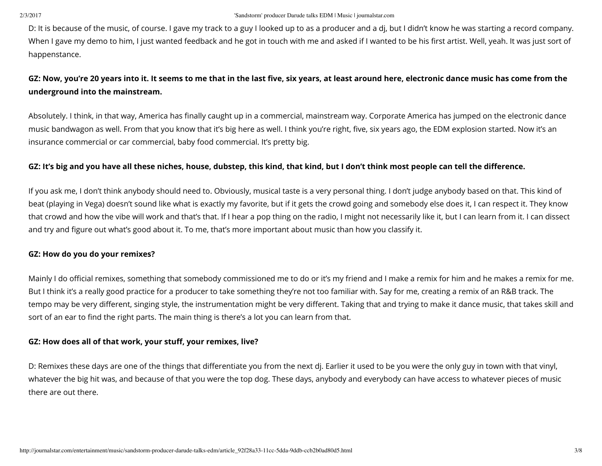D: It is because of the music, of course. I gave my track to a guy I looked up to as a producer and a dj, but I didn't know he was starting a record company. When I gave my demo to him, I just wanted feedback and he got in touch with me and asked if I wanted to be his first artist. Well, yeah. It was just sort of happenstance.

## GZ: Now, you're 20 years into it. It seems to me that in the last five, six years, at least around here, electronic dance music has come from the **underground into the mainstream.**

Absolutely. I think, in that way, America has finally caught up in a commercial, mainstream way. Corporate America has jumped on the electronic dance music bandwagon as well. From that you know that it's big here as well. I think you're right, five, six years ago, the EDM explosion started. Now it's an insurance commercial or car commercial, baby food commercial. It's pretty big.

## GZ: It's big and you have all these niches, house, dubstep, this kind, that kind, but I don't think most people can tell the difference.

If you ask me, I don't think anybody should need to. Obviously, musical taste is a very personal thing. I don't judge anybody based on that. This kind of beat (playing in Vega) doesn't sound like what is exactly my favorite, but if it gets the crowd going and somebody else does it, I can respect it. They know that crowd and how the vibe will work and that's that. If I hear a pop thing on the radio, I might not necessarily like it, but I can learn from it. I can dissect and try and figure out what's good about it. To me, that's more important about music than how you classify it.

## **GZ: How do you do your remixes?**

Mainly I do official remixes, something that somebody commissioned me to do or it's my friend and I make a remix for him and he makes a remix for me. But I think it's a really good practice for a producer to take something they're not too familiar with. Say for me, creating a remix of an R&B track. The tempo may be very different, singing style, the instrumentation might be very different. Taking that and trying to make it dance music, that takes skill and sort of an ear to find the right parts. The main thing is there's a lot you can learn from that.

## **GZ: How does all of that work, your stuff, your remixes, live?**

D: Remixes these days are one of the things that differentiate you from the next dj. Earlier it used to be you were the only guy in town with that vinyl, whatever the big hit was, and because of that you were the top dog. These days, anybody and everybody can have access to whatever pieces of music there are out there.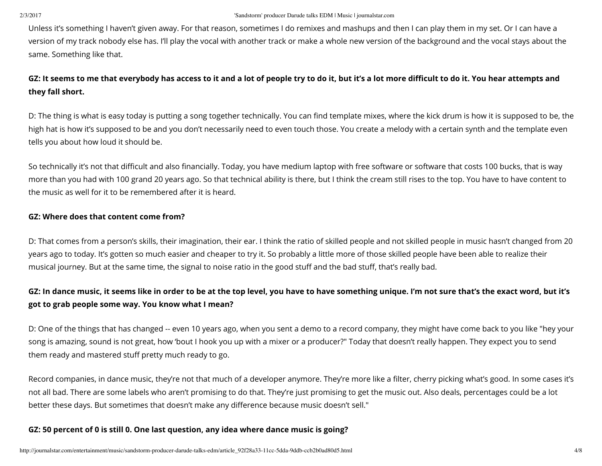Unless it's something I haven't given away. For that reason, sometimes I do remixes and mashups and then I can play them in my set. Or I can have a version of my track nobody else has. I'll play the vocal with another track or make a whole new version of the background and the vocal stays about the same. Something like that.

# GZ: It seems to me that everybody has access to it and a lot of people try to do it, but it's a lot more difficult to do it. You hear attempts and **they fall short.**

D: The thing is what is easy today is putting a song together technically. You can find template mixes, where the kick drum is how it is supposed to be, the high hat is how it's supposed to be and you don't necessarily need to even touch those. You create a melody with a certain synth and the template even tells you about how loud it should be.

So technically it's not that difficult and also financially. Today, you have medium laptop with free software or software that costs 100 bucks, that is way more than you had with 100 grand 20 years ago. So that technical ability is there, but I think the cream still rises to the top. You have to have content to the music as well for it to be remembered after it is heard.

## **GZ: Where does that content come from?**

D: That comes from a person's skills, their imagination, their ear. I think the ratio of skilled people and not skilled people in music hasn't changed from 20 years ago to today. It's gotten so much easier and cheaper to try it. So probably a little more of those skilled people have been able to realize their musical journey. But at the same time, the signal to noise ratio in the good stuff and the bad stuff, that's really bad.

## **GZ: In dance music, it seems like in order to be at the top level, you have to have something unique. I'm not sure that's the exact word, but it's got to grab people some way. You know what I mean?**

D: One of the things that has changed -- even 10 years ago, when you sent a demo to a record company, they might have come back to you like "hey your song is amazing, sound is not great, how 'bout I hook you up with a mixer or a producer?" Today that doesn't really happen. They expect you to send them ready and mastered stuff pretty much ready to go.

Record companies, in dance music, they're not that much of a developer anymore. They're more like a filter, cherry picking what's good. In some cases it's not all bad. There are some labels who aren't promising to do that. They're just promising to get the music out. Also deals, percentages could be a lot better these days. But sometimes that doesn't make any difference because music doesn't sell."

#### **GZ: 50 percent of 0 is still 0. One last question, any idea where dance music is going?**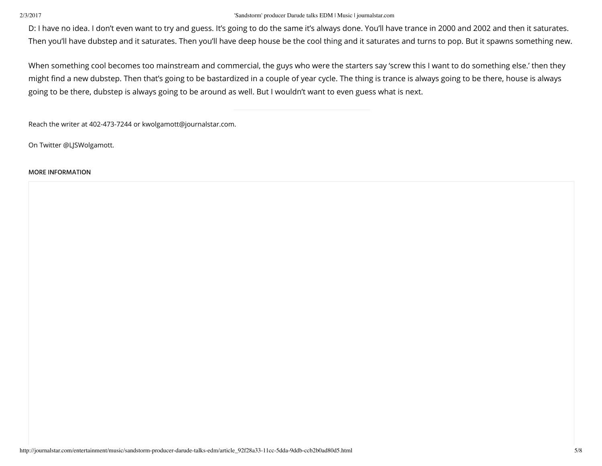#### 2/3/2017 'Sandstorm' producer Darude talks EDM | Music | journalstar.com

D: I have no idea. I don't even want to try and guess. It's going to do the same it's always done. You'll have trance in 2000 and 2002 and then it saturates. Then you'll have dubstep and it saturates. Then you'll have deep house be the cool thing and it saturates and turns to pop. But it spawns something new.

When something cool becomes too mainstream and commercial, the guys who were the starters say 'screw this I want to do something else.' then they might find a new dubstep. Then that's going to be bastardized in a couple of year cycle. The thing is trance is always going to be there, house is always going to be there, dubstep is always going to be around as well. But I wouldn't want to even guess what is next.

Reach the writer at 402-473-7244 or kwolgamott@journalstar.com.

On Twitter @LJSWolgamott.

#### MORE INFORMATION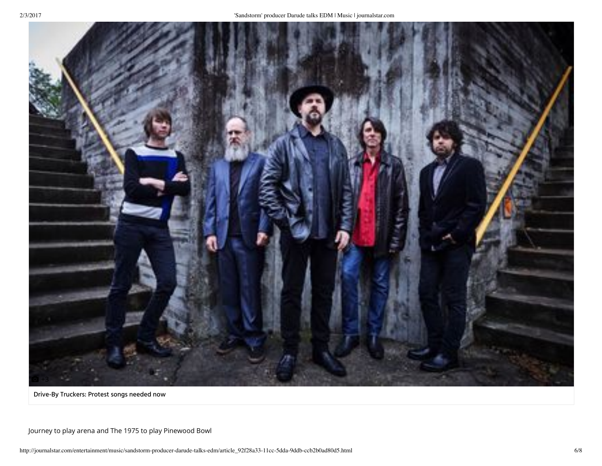

Drive-By Truckers: Protest songs needed now

Journey to play arena and The 1975 to play Pinewood Bowl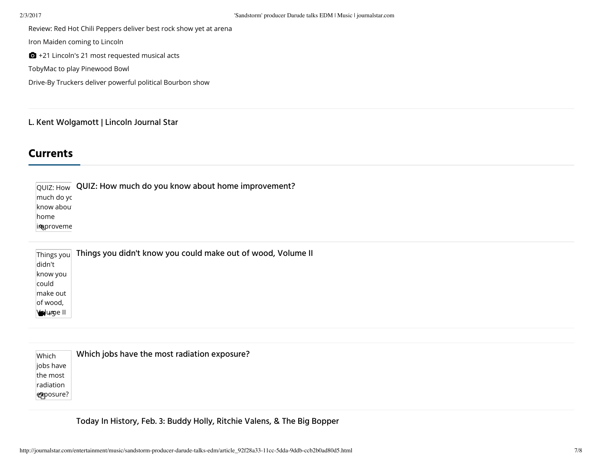Review: Red Hot Chili Peppers deliver best rock show yet at arena

Iron Maiden coming to Lincoln

 $\bullet$  +21 Lincoln's 21 most requested musical acts

TobyMac to play Pinewood Bowl

Drive-By Truckers deliver powerful political Bourbon show

L. Kent Wolgamott | Lincoln Journal Star

# **Currents**

 $\overline{QULZ:How}$  QUIZ: How much do you know about home improvement?  $mu$ ch do yc know about home

i**m**aproveme

| Things you | Things you didn't know you could make out of wood, Volume II |
|------------|--------------------------------------------------------------|
| didn't     |                                                              |
| know you   |                                                              |
| could      |                                                              |
| make out   |                                                              |
| of wood,   |                                                              |
| We urge II |                                                              |
|            |                                                              |

| Which     | Which jobs have the most radiation exposure? |
|-----------|----------------------------------------------|
| jobs have |                                              |
| the most  |                                              |
| radiation |                                              |
| eposure?  |                                              |

Today In History, Feb. 3: Buddy Holly, Ritchie Valens, & The Big Bopper